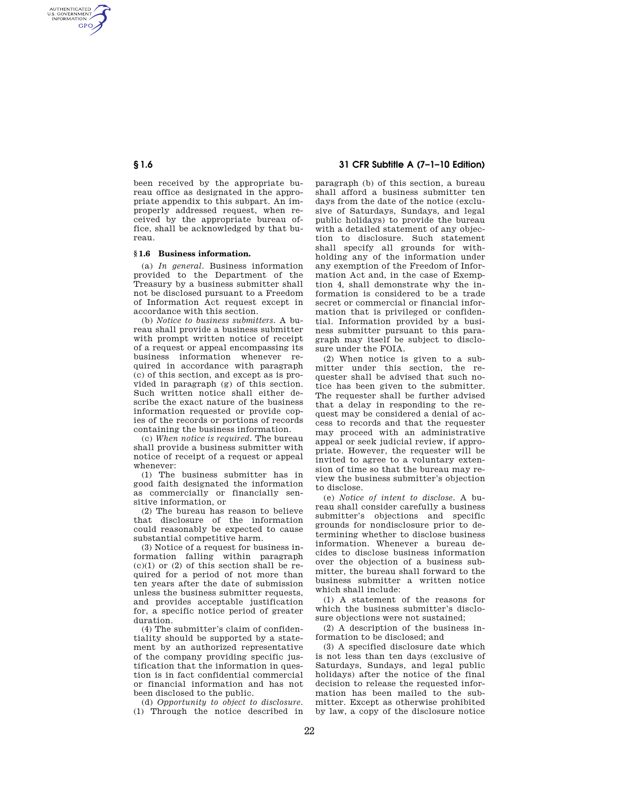AUTHENTICATED<br>U.S. GOVERNMENT<br>INFORMATION **GPO** 

> been received by the appropriate bureau office as designated in the appropriate appendix to this subpart. An improperly addressed request, when received by the appropriate bureau office, shall be acknowledged by that bureau.

# **§ 1.6 Business information.**

(a) *In general.* Business information provided to the Department of the Treasury by a business submitter shall not be disclosed pursuant to a Freedom of Information Act request except in accordance with this section.

(b) *Notice to business submitters.* A bureau shall provide a business submitter with prompt written notice of receipt of a request or appeal encompassing its business information whenever required in accordance with paragraph (c) of this section, and except as is provided in paragraph (g) of this section. Such written notice shall either describe the exact nature of the business information requested or provide copies of the records or portions of records containing the business information.

(c) *When notice is required.* The bureau shall provide a business submitter with notice of receipt of a request or appeal whenever:

(1) The business submitter has in good faith designated the information as commercially or financially sensitive information, or

(2) The bureau has reason to believe that disclosure of the information could reasonably be expected to cause substantial competitive harm.

(3) Notice of a request for business information falling within paragraph  $(c)(1)$  or  $(2)$  of this section shall be required for a period of not more than ten years after the date of submission unless the business submitter requests, and provides acceptable justification for, a specific notice period of greater duration.

(4) The submitter's claim of confidentiality should be supported by a statement by an authorized representative of the company providing specific justification that the information in question is in fact confidential commercial or financial information and has not been disclosed to the public.

(d) *Opportunity to object to disclosure.*  (1) Through the notice described in

# **§ 1.6 31 CFR Subtitle A (7–1–10 Edition)**

paragraph (b) of this section, a bureau shall afford a business submitter ten days from the date of the notice (exclusive of Saturdays, Sundays, and legal public holidays) to provide the bureau with a detailed statement of any objection to disclosure. Such statement shall specify all grounds for withholding any of the information under any exemption of the Freedom of Information Act and, in the case of Exemption 4, shall demonstrate why the information is considered to be a trade secret or commercial or financial information that is privileged or confidential. Information provided by a business submitter pursuant to this paragraph may itself be subject to disclosure under the FOIA.

(2) When notice is given to a submitter under this section, the requester shall be advised that such notice has been given to the submitter. The requester shall be further advised that a delay in responding to the request may be considered a denial of access to records and that the requester may proceed with an administrative appeal or seek judicial review, if appropriate. However, the requester will be invited to agree to a voluntary extension of time so that the bureau may review the business submitter's objection to disclose.

(e) *Notice of intent to disclose.* A bureau shall consider carefully a business submitter's objections and specific grounds for nondisclosure prior to determining whether to disclose business information. Whenever a bureau decides to disclose business information over the objection of a business submitter, the bureau shall forward to the business submitter a written notice which shall include:

(1) A statement of the reasons for which the business submitter's disclosure objections were not sustained;

(2) A description of the business information to be disclosed; and

(3) A specified disclosure date which is not less than ten days (exclusive of Saturdays, Sundays, and legal public holidays) after the notice of the final decision to release the requested information has been mailed to the submitter. Except as otherwise prohibited by law, a copy of the disclosure notice